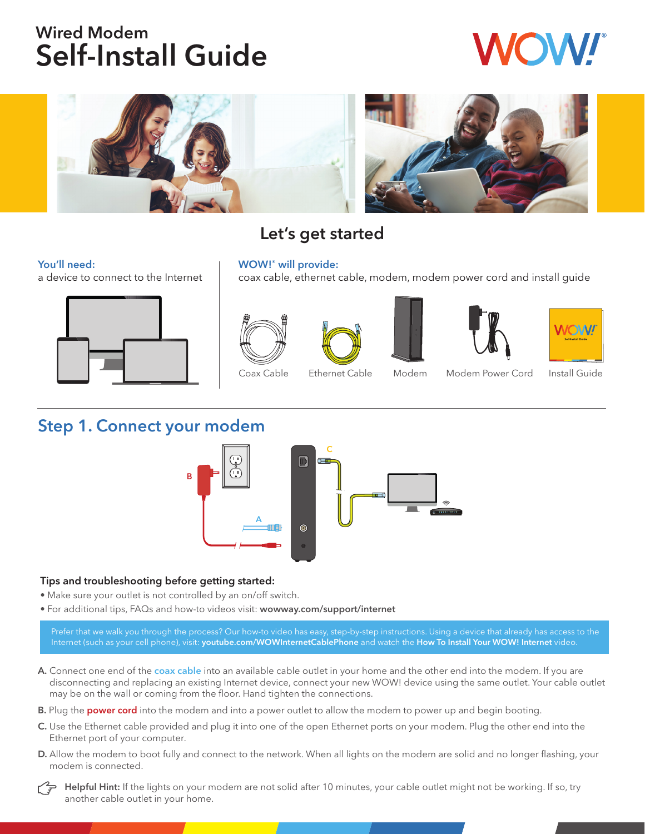# Wired Modem Self-Install Guide



## Let's get started

#### You'll need:

a device to connect to the Internet



#### WOW!® will provide:

coax cable, ethernet cable, modem, modem power cord and install guide











Coax Cable Ethernet Cable Modem Modem Power Cord Install Guide

### Step 1. Connect your modem



### Tips and troubleshooting before getting started:

- Make sure your outlet is not controlled by an on/off switch.
- For additional tips, FAQs and how-to videos visit: wowway.com/support/internet

Prefer that we walk you through the process? Our how-to video has easy, step-by-step instructions. Using a device that already has access to the Internet (such as your cell phone), visit: youtube.com/WOWInternetCablePhone and watch the How To Install Your WOW! Internet video.

- A. Connect one end of the coax cable into an available cable outlet in your home and the other end into the modem. If you are disconnecting and replacing an existing Internet device, connect your new WOW! device using the same outlet. Your cable outlet may be on the wall or coming from the floor. Hand tighten the connections.
- B. Plug the power cord into the modem and into a power outlet to allow the modem to power up and begin booting.
- C. Use the Ethernet cable provided and plug it into one of the open Ethernet ports on your modem. Plug the other end into the Ethernet port of your computer.
- D. Allow the modem to boot fully and connect to the network. When all lights on the modem are solid and no longer flashing, your modem is connected.

Helpful Hint: If the lights on your modem are not solid after 10 minutes, your cable outlet might not be working. If so, try another cable outlet in your home.